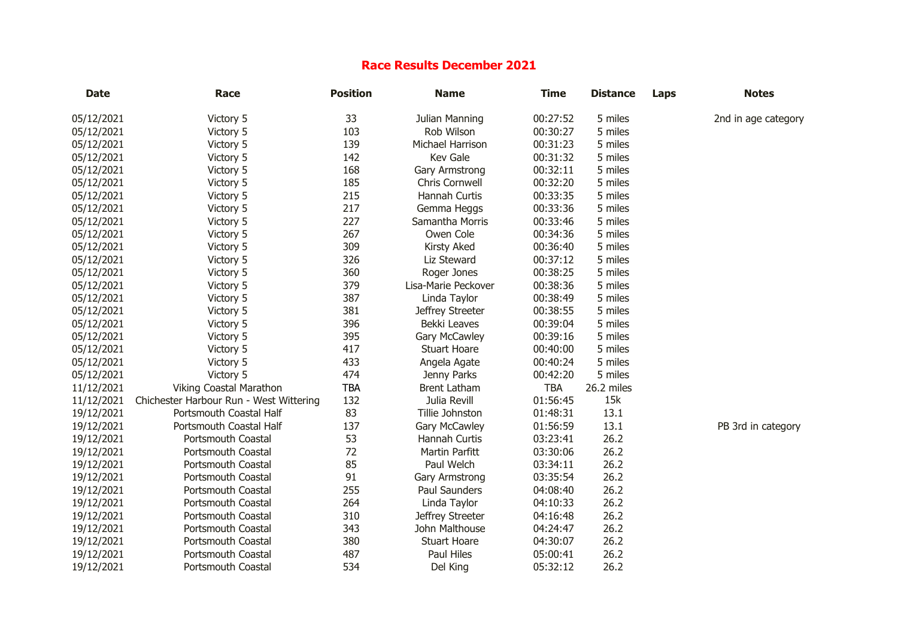## **Race Results December 2021**

| <b>Date</b> | Race                                    | <b>Position</b> | <b>Name</b>         | <b>Time</b> | <b>Distance</b> | Laps | <b>Notes</b>        |
|-------------|-----------------------------------------|-----------------|---------------------|-------------|-----------------|------|---------------------|
| 05/12/2021  | Victory 5                               | 33              | Julian Manning      | 00:27:52    | 5 miles         |      | 2nd in age category |
| 05/12/2021  | Victory 5                               | 103             | Rob Wilson          | 00:30:27    | 5 miles         |      |                     |
| 05/12/2021  | Victory 5                               | 139             | Michael Harrison    | 00:31:23    | 5 miles         |      |                     |
| 05/12/2021  | Victory 5                               | 142             | Kev Gale            | 00:31:32    | 5 miles         |      |                     |
| 05/12/2021  | Victory 5                               | 168             | Gary Armstrong      | 00:32:11    | 5 miles         |      |                     |
| 05/12/2021  | Victory 5                               | 185             | Chris Cornwell      | 00:32:20    | 5 miles         |      |                     |
| 05/12/2021  | Victory 5                               | 215             | Hannah Curtis       | 00:33:35    | 5 miles         |      |                     |
| 05/12/2021  | Victory 5                               | 217             | Gemma Heggs         | 00:33:36    | 5 miles         |      |                     |
| 05/12/2021  | Victory 5                               | 227             | Samantha Morris     | 00:33:46    | 5 miles         |      |                     |
| 05/12/2021  | Victory 5                               | 267             | Owen Cole           | 00:34:36    | 5 miles         |      |                     |
| 05/12/2021  | Victory 5                               | 309             | Kirsty Aked         | 00:36:40    | 5 miles         |      |                     |
| 05/12/2021  | Victory 5                               | 326             | Liz Steward         | 00:37:12    | 5 miles         |      |                     |
| 05/12/2021  | Victory 5                               | 360             | Roger Jones         | 00:38:25    | 5 miles         |      |                     |
| 05/12/2021  | Victory 5                               | 379             | Lisa-Marie Peckover | 00:38:36    | 5 miles         |      |                     |
| 05/12/2021  | Victory 5                               | 387             | Linda Taylor        | 00:38:49    | 5 miles         |      |                     |
| 05/12/2021  | Victory 5                               | 381             | Jeffrey Streeter    | 00:38:55    | 5 miles         |      |                     |
| 05/12/2021  | Victory 5                               | 396             | Bekki Leaves        | 00:39:04    | 5 miles         |      |                     |
| 05/12/2021  | Victory 5                               | 395             | Gary McCawley       | 00:39:16    | 5 miles         |      |                     |
| 05/12/2021  | Victory 5                               | 417             | <b>Stuart Hoare</b> | 00:40:00    | 5 miles         |      |                     |
| 05/12/2021  | Victory 5                               | 433             | Angela Agate        | 00:40:24    | 5 miles         |      |                     |
| 05/12/2021  | Victory 5                               | 474             | Jenny Parks         | 00:42:20    | 5 miles         |      |                     |
| 11/12/2021  | Viking Coastal Marathon                 | <b>TBA</b>      | <b>Brent Latham</b> | <b>TBA</b>  | 26.2 miles      |      |                     |
| 11/12/2021  | Chichester Harbour Run - West Wittering | 132             | Julia Revill        | 01:56:45    | 15k             |      |                     |
| 19/12/2021  | Portsmouth Coastal Half                 | 83              | Tillie Johnston     | 01:48:31    | 13.1            |      |                     |
| 19/12/2021  | Portsmouth Coastal Half                 | 137             | Gary McCawley       | 01:56:59    | 13.1            |      | PB 3rd in category  |
| 19/12/2021  | Portsmouth Coastal                      | 53              | Hannah Curtis       | 03:23:41    | 26.2            |      |                     |
| 19/12/2021  | Portsmouth Coastal                      | 72              | Martin Parfitt      | 03:30:06    | 26.2            |      |                     |
| 19/12/2021  | Portsmouth Coastal                      | 85              | Paul Welch          | 03:34:11    | 26.2            |      |                     |
| 19/12/2021  | Portsmouth Coastal                      | 91              | Gary Armstrong      | 03:35:54    | 26.2            |      |                     |
| 19/12/2021  | Portsmouth Coastal                      | 255             | Paul Saunders       | 04:08:40    | 26.2            |      |                     |
| 19/12/2021  | Portsmouth Coastal                      | 264             | Linda Taylor        | 04:10:33    | 26.2            |      |                     |
| 19/12/2021  | Portsmouth Coastal                      | 310             | Jeffrey Streeter    | 04:16:48    | 26.2            |      |                     |
| 19/12/2021  | Portsmouth Coastal                      | 343             | John Malthouse      | 04:24:47    | 26.2            |      |                     |
| 19/12/2021  | Portsmouth Coastal                      | 380             | <b>Stuart Hoare</b> | 04:30:07    | 26.2            |      |                     |
| 19/12/2021  | Portsmouth Coastal                      | 487             | Paul Hiles          | 05:00:41    | 26.2            |      |                     |
| 19/12/2021  | <b>Portsmouth Coastal</b>               | 534             | Del King            | 05:32:12    | 26.2            |      |                     |